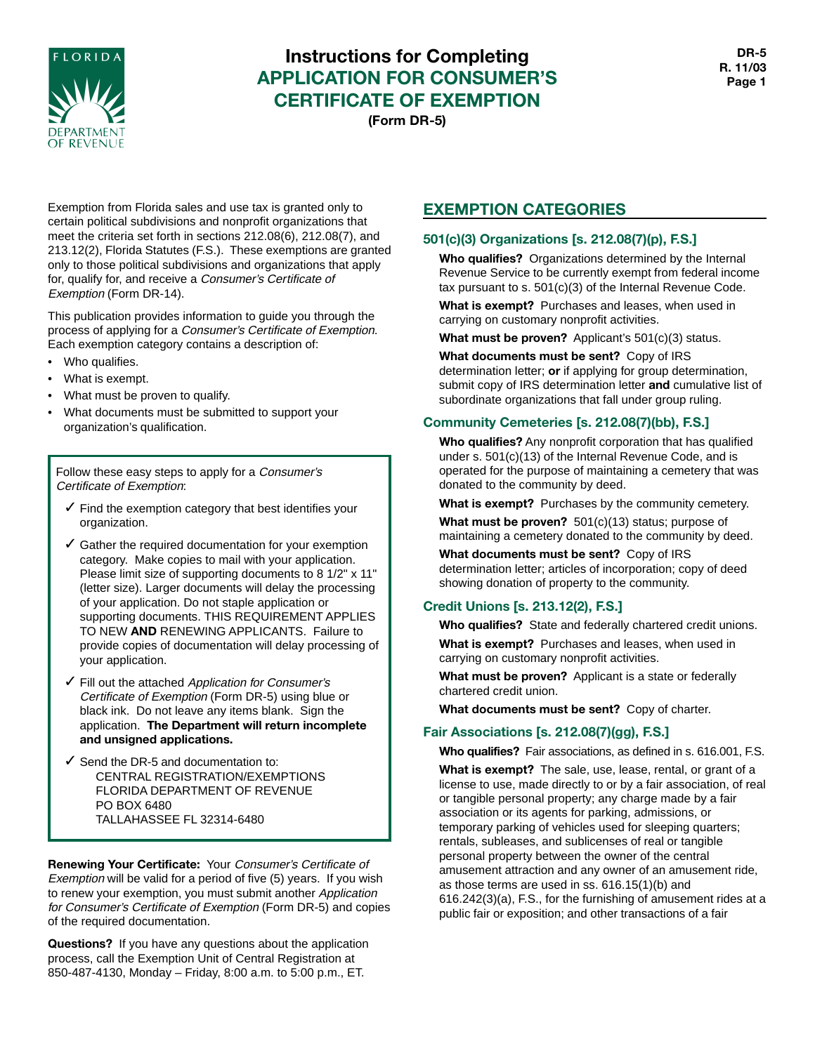

# **Instructions for Completing APPLICATION FOR CONSUMER'S CERTIFICATE OF EXEMPTION (Form DR-5)**

Exemption from Florida sales and use tax is granted only to certain political subdivisions and nonprofit organizations that meet the criteria set forth in sections 212.08(6), 212.08(7), and 213.12(2), Florida Statutes (F.S.). These exemptions are granted only to those political subdivisions and organizations that apply for, qualify for, and receive a Consumer's Certificate of Exemption (Form DR-14).

This publication provides information to guide you through the process of applying for a Consumer's Certificate of Exemption. Each exemption category contains a description of:

- Who qualifies.
- What is exempt.
- What must be proven to qualify.
- What documents must be submitted to support your organization's qualification.

Follow these easy steps to apply for a Consumer's Certificate of Exemption:

- $\checkmark$  Find the exemption category that best identifies your organization.
- $\checkmark$  Gather the required documentation for your exemption category. Make copies to mail with your application. Please limit size of supporting documents to 8 1/2" x 11" (letter size). Larger documents will delay the processing of your application. Do not staple application or supporting documents. THIS REQUIREMENT APPLIES TO NEW **AND** RENEWING APPLICANTS. Failure to provide copies of documentation will delay processing of your application.
- ✓ Fill out the attached Application for Consumer's Certificate of Exemption (Form DR-5) using blue or black ink. Do not leave any items blank. Sign the application. **The Department will return incomplete and unsigned applications.**
- $\checkmark$  Send the DR-5 and documentation to: CENTRAL REGISTRATION/EXEMPTIONS FLORIDA DEPARTMENT OF REVENUE PO BOX 6480 TALLAHASSEE FL 32314-6480

**Renewing Your Certificate:** Your Consumer's Certificate of Exemption will be valid for a period of five (5) years. If you wish to renew your exemption, you must submit another Application for Consumer's Certificate of Exemption (Form DR-5) and copies of the required documentation.

**Questions?** If you have any questions about the application process, call the Exemption Unit of Central Registration at 850-487-4130, Monday – Friday, 8:00 a.m. to 5:00 p.m., ET.

# **EXEMPTION CATEGORIES**

## **501(c)(3) Organizations [s. 212.08(7)(p), F.S.]**

**Who qualifies?** Organizations determined by the Internal Revenue Service to be currently exempt from federal income tax pursuant to s. 501(c)(3) of the Internal Revenue Code.

**What is exempt?** Purchases and leases, when used in carrying on customary nonprofit activities.

**What must be proven?** Applicant's 501(c)(3) status.

**What documents must be sent?** Copy of IRS determination letter; **or** if applying for group determination, submit copy of IRS determination letter **and** cumulative list of subordinate organizations that fall under group ruling.

# **Community Cemeteries [s. 212.08(7)(bb), F.S.]**

**Who qualifies?** Any nonprofit corporation that has qualified under s. 501(c)(13) of the Internal Revenue Code, and is operated for the purpose of maintaining a cemetery that was donated to the community by deed.

**What is exempt?** Purchases by the community cemetery. **What must be proven?** 501(c)(13) status; purpose of

maintaining a cemetery donated to the community by deed.

**What documents must be sent?** Copy of IRS determination letter; articles of incorporation; copy of deed showing donation of property to the community.

# **Credit Unions [s. 213.12(2), F.S.]**

**Who qualifies?** State and federally chartered credit unions.

**What is exempt?** Purchases and leases, when used in carrying on customary nonprofit activities.

**What must be proven?** Applicant is a state or federally chartered credit union.

**What documents must be sent?** Copy of charter.

# **Fair Associations [s. 212.08(7)(gg), F.S.]**

**Who qualifies?** Fair associations, as defined in s. 616.001, F.S.

**What is exempt?** The sale, use, lease, rental, or grant of a license to use, made directly to or by a fair association, of real or tangible personal property; any charge made by a fair association or its agents for parking, admissions, or temporary parking of vehicles used for sleeping quarters; rentals, subleases, and sublicenses of real or tangible personal property between the owner of the central amusement attraction and any owner of an amusement ride, as those terms are used in ss. 616.15(1)(b) and 616.242(3)(a), F.S., for the furnishing of amusement rides at a public fair or exposition; and other transactions of a fair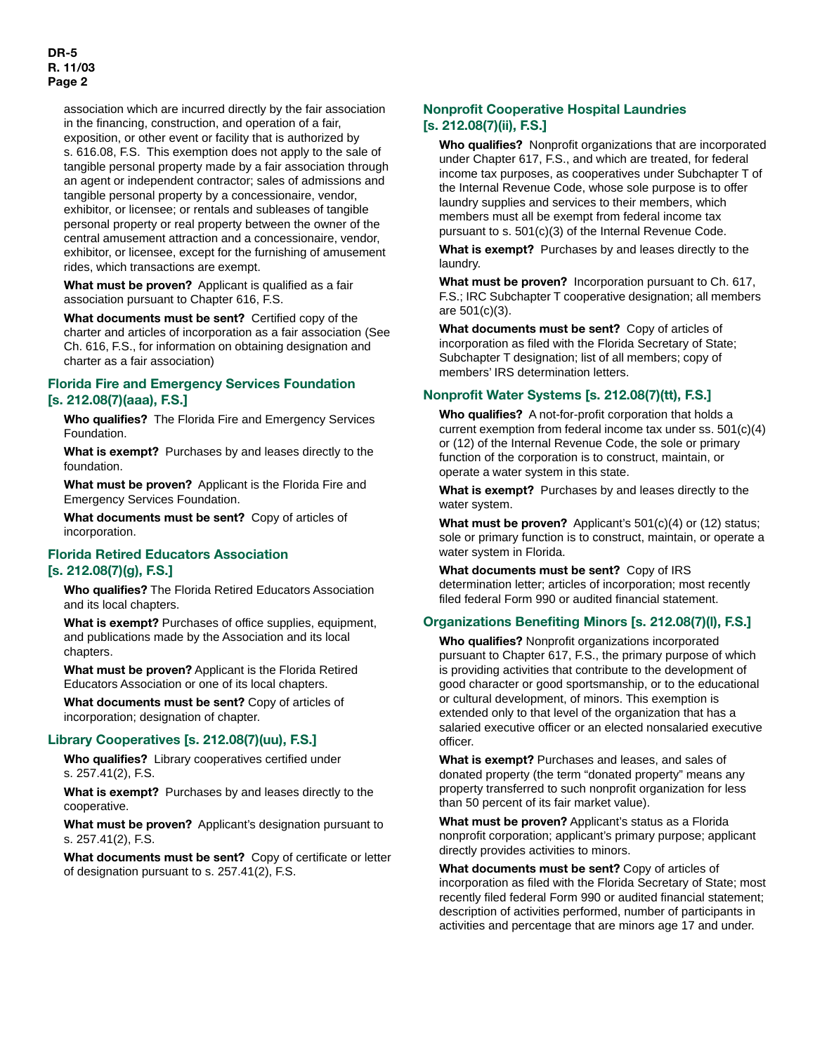association which are incurred directly by the fair association in the financing, construction, and operation of a fair, exposition, or other event or facility that is authorized by s. 616.08, F.S. This exemption does not apply to the sale of tangible personal property made by a fair association through an agent or independent contractor; sales of admissions and tangible personal property by a concessionaire, vendor, exhibitor, or licensee; or rentals and subleases of tangible personal property or real property between the owner of the central amusement attraction and a concessionaire, vendor, exhibitor, or licensee, except for the furnishing of amusement rides, which transactions are exempt.

**What must be proven?** Applicant is qualified as a fair association pursuant to Chapter 616, F.S.

**What documents must be sent?** Certified copy of the charter and articles of incorporation as a fair association (See Ch. 616, F.S., for information on obtaining designation and charter as a fair association)

## **Florida Fire and Emergency Services Foundation [s. 212.08(7)(aaa), F.S.]**

**Who qualifies?** The Florida Fire and Emergency Services Foundation.

**What is exempt?** Purchases by and leases directly to the foundation.

**What must be proven?** Applicant is the Florida Fire and Emergency Services Foundation.

**What documents must be sent?** Copy of articles of incorporation.

### **Florida Retired Educators Association [s. 212.08(7)(g), F.S.]**

**Who qualifies?** The Florida Retired Educators Association and its local chapters.

**What is exempt?** Purchases of office supplies, equipment, and publications made by the Association and its local chapters.

**What must be proven?** Applicant is the Florida Retired Educators Association or one of its local chapters.

**What documents must be sent?** Copy of articles of incorporation; designation of chapter.

#### **Library Cooperatives [s. 212.08(7)(uu), F.S.]**

**Who qualifies?** Library cooperatives certified under s. 257.41(2), F.S.

**What is exempt?** Purchases by and leases directly to the cooperative.

**What must be proven?** Applicant's designation pursuant to s. 257.41(2), F.S.

**What documents must be sent?** Copy of certificate or letter of designation pursuant to s. 257.41(2), F.S.

### **Nonprofit Cooperative Hospital Laundries [s. 212.08(7)(ii), F.S.]**

**Who qualifies?** Nonprofit organizations that are incorporated under Chapter 617, F.S., and which are treated, for federal income tax purposes, as cooperatives under Subchapter T of the Internal Revenue Code, whose sole purpose is to offer laundry supplies and services to their members, which members must all be exempt from federal income tax pursuant to s. 501(c)(3) of the Internal Revenue Code.

**What is exempt?** Purchases by and leases directly to the laundry.

**What must be proven?** Incorporation pursuant to Ch. 617, F.S.; IRC Subchapter T cooperative designation; all members are 501(c)(3).

**What documents must be sent?** Copy of articles of incorporation as filed with the Florida Secretary of State; Subchapter T designation; list of all members; copy of members' IRS determination letters.

#### **Nonprofit Water Systems [s. 212.08(7)(tt), F.S.]**

**Who qualifies?** A not-for-profit corporation that holds a current exemption from federal income tax under ss. 501(c)(4) or (12) of the Internal Revenue Code, the sole or primary function of the corporation is to construct, maintain, or operate a water system in this state.

**What is exempt?** Purchases by and leases directly to the water system.

**What must be proven?** Applicant's 501(c)(4) or (12) status; sole or primary function is to construct, maintain, or operate a water system in Florida.

**What documents must be sent?** Copy of IRS determination letter; articles of incorporation; most recently filed federal Form 990 or audited financial statement.

## **Organizations Benefiting Minors [s. 212.08(7)(l), F.S.]**

**Who qualifies?** Nonprofit organizations incorporated pursuant to Chapter 617, F.S., the primary purpose of which is providing activities that contribute to the development of good character or good sportsmanship, or to the educational or cultural development, of minors. This exemption is extended only to that level of the organization that has a salaried executive officer or an elected nonsalaried executive officer.

**What is exempt?** Purchases and leases, and sales of donated property (the term "donated property" means any property transferred to such nonprofit organization for less than 50 percent of its fair market value).

**What must be proven?** Applicant's status as a Florida nonprofit corporation; applicant's primary purpose; applicant directly provides activities to minors.

**What documents must be sent?** Copy of articles of incorporation as filed with the Florida Secretary of State; most recently filed federal Form 990 or audited financial statement; description of activities performed, number of participants in activities and percentage that are minors age 17 and under.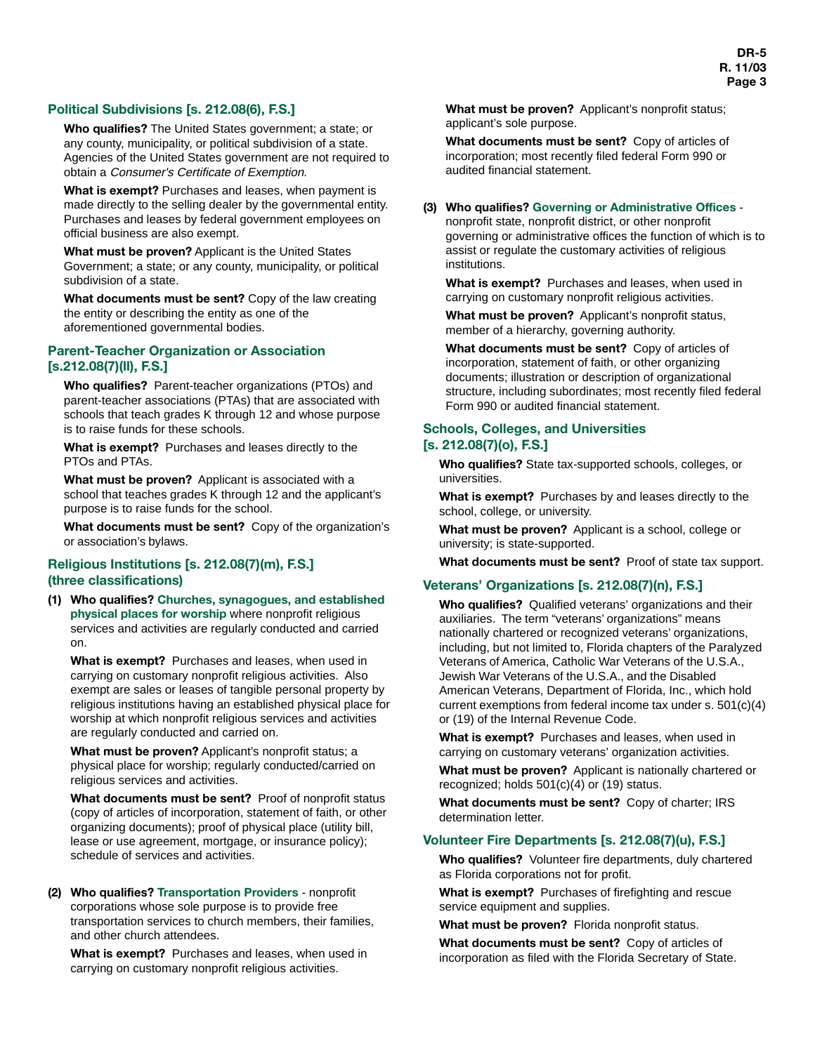## **Political Subdivisions [s. 212.08(6), F.S.]**

**Who qualifies?** The United States government; a state; or any county, municipality, or political subdivision of a state. Agencies of the United States government are not required to obtain a Consumer's Certificate of Exemption.

**What is exempt?** Purchases and leases, when payment is made directly to the selling dealer by the governmental entity. Purchases and leases by federal government employees on official business are also exempt.

**What must be proven?** Applicant is the United States Government; a state; or any county, municipality, or political subdivision of a state.

**What documents must be sent?** Copy of the law creating the entity or describing the entity as one of the aforementioned governmental bodies.

## **Parent-Teacher Organization or Association [s.212.08(7)(ll), F.S.]**

**Who qualifies?** Parent-teacher organizations (PTOs) and parent-teacher associations (PTAs) that are associated with schools that teach grades K through 12 and whose purpose is to raise funds for these schools.

**What is exempt?** Purchases and leases directly to the PTOs and PTAs.

**What must be proven?** Applicant is associated with a school that teaches grades K through 12 and the applicant's purpose is to raise funds for the school.

**What documents must be sent?** Copy of the organization's or association's bylaws.

#### **Religious Institutions [s. 212.08(7)(m), F.S.] (three classifications)**

**(1) Who qualifies? Churches, synagogues, and established physical places for worship** where nonprofit religious services and activities are regularly conducted and carried on.

**What is exempt?** Purchases and leases, when used in carrying on customary nonprofit religious activities. Also exempt are sales or leases of tangible personal property by religious institutions having an established physical place for worship at which nonprofit religious services and activities are regularly conducted and carried on.

**What must be proven?** Applicant's nonprofit status; a physical place for worship; regularly conducted/carried on religious services and activities.

**What documents must be sent?** Proof of nonprofit status (copy of articles of incorporation, statement of faith, or other organizing documents); proof of physical place (utility bill, lease or use agreement, mortgage, or insurance policy); schedule of services and activities.

**(2) Who qualifies? Transportation Providers** - nonprofit corporations whose sole purpose is to provide free transportation services to church members, their families, and other church attendees.

**What is exempt?** Purchases and leases, when used in carrying on customary nonprofit religious activities.

**What must be proven?** Applicant's nonprofit status; applicant's sole purpose.

**What documents must be sent?** Copy of articles of incorporation; most recently filed federal Form 990 or audited financial statement.

#### **(3) Who qualifies? Governing or Administrative Offices** -

nonprofit state, nonprofit district, or other nonprofit governing or administrative offices the function of which is to assist or regulate the customary activities of religious institutions.

**What is exempt?** Purchases and leases, when used in carrying on customary nonprofit religious activities.

**What must be proven?** Applicant's nonprofit status, member of a hierarchy, governing authority.

**What documents must be sent?** Copy of articles of incorporation, statement of faith, or other organizing documents; illustration or description of organizational structure, including subordinates; most recently filed federal Form 990 or audited financial statement.

#### **Schools, Colleges, and Universities [s. 212.08(7)(o), F.S.]**

**Who qualifies?** State tax-supported schools, colleges, or universities.

**What is exempt?** Purchases by and leases directly to the school, college, or university.

**What must be proven?** Applicant is a school, college or university; is state-supported.

**What documents must be sent?** Proof of state tax support.

## **Veterans' Organizations [s. 212.08(7)(n), F.S.]**

**Who qualifies?** Qualified veterans' organizations and their auxiliaries. The term "veterans' organizations" means nationally chartered or recognized veterans' organizations, including, but not limited to, Florida chapters of the Paralyzed Veterans of America, Catholic War Veterans of the U.S.A., Jewish War Veterans of the U.S.A., and the Disabled American Veterans, Department of Florida, Inc., which hold current exemptions from federal income tax under s. 501(c)(4) or (19) of the Internal Revenue Code.

**What is exempt?** Purchases and leases, when used in carrying on customary veterans' organization activities.

**What must be proven?** Applicant is nationally chartered or recognized; holds 501(c)(4) or (19) status.

**What documents must be sent?** Copy of charter; IRS determination letter.

### **Volunteer Fire Departments [s. 212.08(7)(u), F.S.]**

**Who qualifies?** Volunteer fire departments, duly chartered as Florida corporations not for profit.

**What is exempt?** Purchases of firefighting and rescue service equipment and supplies.

**What must be proven?** Florida nonprofit status.

**What documents must be sent?** Copy of articles of incorporation as filed with the Florida Secretary of State.